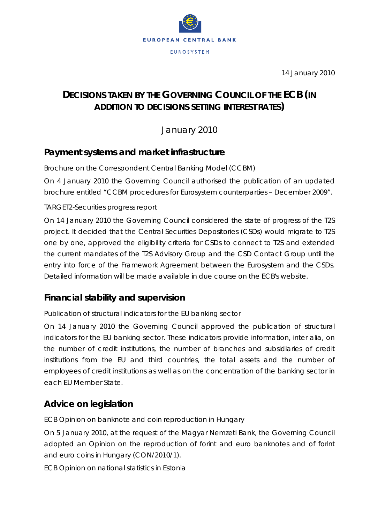

14 January 2010

# **DECISIONS TAKEN BY THE GOVERNING COUNCIL OF THE ECB** *(IN ADDITION TO DECISIONS SETTING INTEREST RATES)*

January 2010

### **Payment systems and market infrastructure**

*Brochure on the Correspondent Central Banking Model (CCBM)*

On 4 January 2010 the Governing Council authorised the publication of an updated brochure entitled "CCBM procedures for Eurosystem counterparties – December 2009".

#### *TARGET2-Securities progress report*

On 14 January 2010 the Governing Council considered the state of progress of the T2S project. It decided that the Central Securities Depositories (CSDs) would migrate to T2S one by one, approved the eligibility criteria for CSDs to connect to T2S and extended the current mandates of the T2S Advisory Group and the CSD Contact Group until the entry into force of the Framework Agreement between the Eurosystem and the CSDs. Detailed information will be made available in due course on the ECB's website.

### **Financial stability and supervision**

#### *Publication of structural indicators for the EU banking sector*

On 14 January 2010 the Governing Council approved the publication of structural indicators for the EU banking sector. These indicators provide information, inter alia, on the number of credit institutions, the number of branches and subsidiaries of credit institutions from the EU and third countries, the total assets and the number of employees of credit institutions as well as on the concentration of the banking sector in each EU Member State.

### **Advice on legislation**

#### *ECB Opinion on banknote and coin reproduction in Hungary*

On 5 January 2010, at the request of the Magyar Nemzeti Bank, the Governing Council adopted an Opinion on the reproduction of forint and euro banknotes and of forint and euro coins in Hungary (CON/2010/1).

*ECB Opinion on national statistics in Estonia*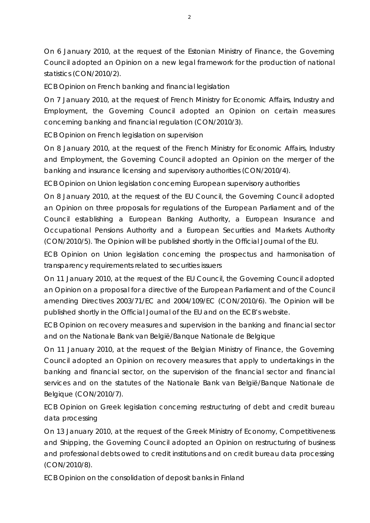On 6 January 2010, at the request of the Estonian Ministry of Finance, the Governing Council adopted an Opinion on a new legal framework for the production of national statistics (CON/2010/2).

*ECB Opinion on French banking and financial legislation*

On 7 January 2010, at the request of French Ministry for Economic Affairs, Industry and Employment, the Governing Council adopted an Opinion on certain measures concerning banking and financial regulation (CON/2010/3).

*ECB Opinion on French legislation on supervision*

On 8 January 2010, at the request of the French Ministry for Economic Affairs, Industry and Employment, the Governing Council adopted an Opinion on the merger of the banking and insurance licensing and supervisory authorities (CON/2010/4).

*ECB Opinion on Union legislation concerning European supervisory authorities*

On 8 January 2010, at the request of the EU Council, the Governing Council adopted an Opinion on three proposals for regulations of the European Parliament and of the Council establishing a European Banking Authority, a European Insurance and Occupational Pensions Authority and a European Securities and Markets Authority (CON/2010/5). The Opinion will be published shortly in the *Official Journal of the EU*.

*ECB Opinion on Union legislation concerning the prospectus and harmonisation of transparency requirements related to securities issuers*

On 11 January 2010, at the request of the EU Council, the Governing Council adopted an Opinion on a proposal for a directive of the European Parliament and of the Council amending Directives 2003/71/EC and 2004/109/EC (CON/2010/6). The Opinion will be published shortly in the *Official Journal of the EU* and on the ECB's website.

*ECB Opinion on recovery measures and supervision in the banking and financial sector and on the Nationale Bank van België/Banque Nationale de Belgique* 

On 11 January 2010, at the request of the Belgian Ministry of Finance, the Governing Council adopted an Opinion on recovery measures that apply to undertakings in the banking and financial sector, on the supervision of the financial sector and financial services and on the statutes of the Nationale Bank van België/Banque Nationale de Belgique (CON/2010/7).

*ECB Opinion on Greek legislation concerning restructuring of debt and credit bureau data processing*

On 13 January 2010, at the request of the Greek Ministry of Economy, Competitiveness and Shipping, the Governing Council adopted an Opinion on restructuring of business and professional debts owed to credit institutions and on credit bureau data processing (CON/2010/8).

*ECB Opinion on the consolidation of deposit banks in Finland*